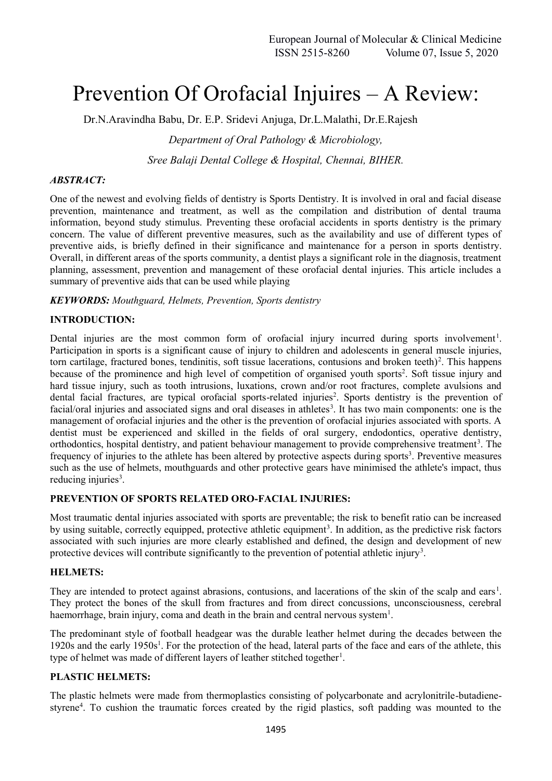# Prevention Of Orofacial Injuires – A Review:

Dr.N.Aravindha Babu, Dr. E.P. Sridevi Anjuga, Dr.L.Malathi, Dr.E.Rajesh

*Department of Oral Pathology & Microbiology,*

*Sree Balaji Dental College & Hospital, Chennai, BIHER.*

### *ABSTRACT:*

One of the newest and evolving fields of dentistry is Sports Dentistry. It is involved in oral and facial disease prevention, maintenance and treatment, as well as the compilation and distribution of dental trauma information, beyond study stimulus. Preventing these orofacial accidents in sports dentistry is the primary concern. The value of different preventive measures, such as the availability and use of different types of preventive aids, is briefly defined in their significance and maintenance for a person in sports dentistry. Overall, in different areas of the sports community, a dentist plays a significant role in the diagnosis, treatment planning, assessment, prevention and management of these orofacial dental injuries. This article includes a summary of preventive aids that can be used while playing

*KEYWORDS: Mouthguard, Helmets, Prevention, Sports dentistry*

### **INTRODUCTION:**

Dental injuries are the most common form of orofacial injury incurred during sports involvement<sup>1</sup>. Participation in sports is a significant cause of injury to children and adolescents in general muscle injuries, torn cartilage, fractured bones, tendinitis, soft tissue lacerations, contusions and broken teeth $)^2$ . This happens because of the prominence and high level of competition of organised youth sports<sup>2</sup>. Soft tissue injury and hard tissue injury, such as tooth intrusions, luxations, crown and/or root fractures, complete avulsions and dental facial fractures, are typical orofacial sports-related injuries<sup>2</sup>. Sports dentistry is the prevention of facial/oral injuries and associated signs and oral diseases in athletes<sup>3</sup>. It has two main components: one is the management of orofacial injuries and the other is the prevention of orofacial injuries associated with sports. A dentist must be experienced and skilled in the fields of oral surgery, endodontics, operative dentistry, orthodontics, hospital dentistry, and patient behaviour management to provide comprehensive treatment<sup>3</sup>. The frequency of injuries to the athlete has been altered by protective aspects during sports<sup>3</sup>. Preventive measures such as the use of helmets, mouthguards and other protective gears have minimised the athlete's impact, thus reducing injuries<sup>3</sup>.

# **PREVENTION OF SPORTS RELATED ORO-FACIAL INJURIES:**

Most traumatic dental injuries associated with sports are preventable; the risk to benefit ratio can be increased by using suitable, correctly equipped, protective athletic equipment<sup>3</sup>. In addition, as the predictive risk factors associated with such injuries are more clearly established and defined, the design and development of new protective devices will contribute significantly to the prevention of potential athletic injury<sup>3</sup>.

#### **HELMETS:**

They are intended to protect against abrasions, contusions, and lacerations of the skin of the scalp and ears<sup>1</sup>. They protect the bones of the skull from fractures and from direct concussions, unconsciousness, cerebral haemorrhage, brain injury, coma and death in the brain and central nervous system<sup>1</sup>.

The predominant style of football headgear was the durable leather helmet during the decades between the 1920s and the early 1950s<sup>1</sup>. For the protection of the head, lateral parts of the face and ears of the athlete, this type of helmet was made of different layers of leather stitched together<sup>1</sup>.

# **PLASTIC HELMETS:**

The plastic helmets were made from thermoplastics consisting of polycarbonate and acrylonitrile-butadiene styrene<sup>4</sup>. To cushion the traumatic forces created by the rigid plastics, soft padding was mounted to the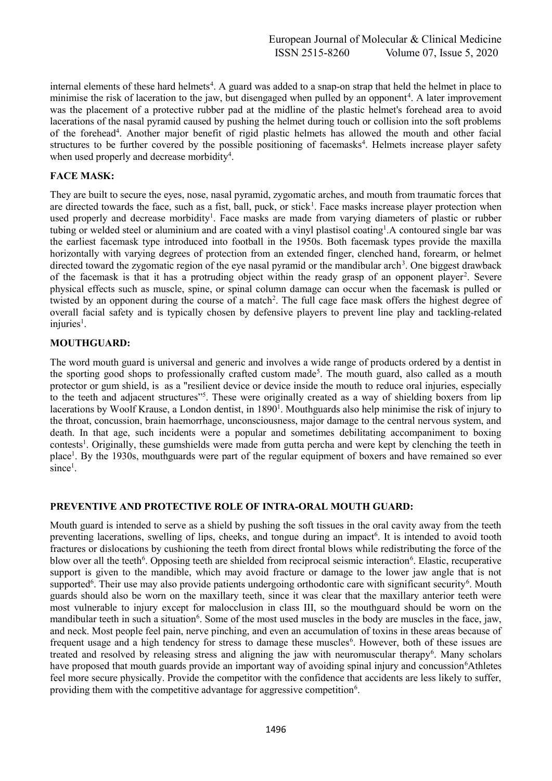internal elements of these hard helmets<sup>4</sup>. A guard was added to a snap-on strap that held the helmet in place to minimise the risk of laceration to the jaw, but disengaged when pulled by an opponent<sup>4</sup>. A later improvement was the placement of a protective rubber pad at the midline of the plastic helmet's forehead area to avoid lacerations of the nasal pyramid caused by pushing the helmet during touch or collision into the soft problems of the forehead<sup>4</sup>. Another major benefit of rigid plastic helmets has allowed the mouth and other facial structures to be further covered by the possible positioning of facemasks<sup>4</sup>. Helmets increase player safety when used properly and decrease morbidity<sup>4</sup>.

# **FACE MASK:**

They are built to secure the eyes, nose, nasal pyramid, zygomatic arches, and mouth from traumatic forces that are directed towards the face, such as a fist, ball, puck, or stick<sup>1</sup>. Face masks increase player protection when used properly and decrease morbidity<sup>1</sup>. Face masks are made from varying diameters of plastic or rubber tubing or welded steel or aluminium and are coated with a vinyl plastisol coating<sup>1</sup>. A contoured single bar was the earliest facemask type introduced into football in the 1950s. Both facemask types provide the maxilla horizontally with varying degrees of protection from an extended finger, clenched hand, forearm, or helmet directed toward the zygomatic region of the eye nasal pyramid or the mandibular arch<sup>3</sup>. One biggest drawback of the facemask is that it has a protruding object within the ready grasp of an opponent player<sup>2</sup>. Severe physical effects such as muscle, spine, or spinal column damage can occur when the facemask is pulled or twisted by an opponent during the course of a match<sup>2</sup>. The full cage face mask offers the highest degree of overall facial safety and is typically chosen by defensive players to prevent line play and tackling-related  $injuries<sup>1</sup>$ .

# **MOUTHGUARD:**

The word mouth guard is universal and generic and involves a wide range of products ordered by a dentist in the sporting good shops to professionally crafted custom made<sup>5</sup>. The mouth guard, also called as a mouth protector or gum shield, is as a "resilient device or device inside the mouth to reduce oral injuries, especially to the teeth and adjacent structures" 5 . These were originally created as a way of shielding boxers from lip lacerations by Woolf Krause, a London dentist, in 1890<sup>1</sup>. Mouthguards also help minimise the risk of injury to the throat, concussion, brain haemorrhage, unconsciousness, major damage to the central nervous system, and death. In that age, such incidents were a popular and sometimes debilitating accompaniment to boxing contests<sup>1</sup>. Originally, these gumshields were made from gutta percha and were kept by clenching the teeth in place<sup>1</sup>. By the 1930s, mouthguards were part of the regular equipment of boxers and have remained so ever  $since<sup>1</sup>$ .

# **PREVENTIVE AND PROTECTIVE ROLE OF INTRA-ORAL MOUTH GUARD:**

Mouth guard is intended to serve as a shield by pushing the soft tissues in the oral cavity away from the teeth preventing lacerations, swelling of lips, cheeks, and tongue during an impact<sup>6</sup>. It is intended to avoid tooth fractures or dislocations by cushioning the teeth from direct frontal blows while redistributing the force of the blow over all the teeth<sup>6</sup>. Opposing teeth are shielded from reciprocal seismic interaction<sup>6</sup>. Elastic, recuperative support is given to the mandible, which may avoid fracture or damage to the lower jaw angle that is not supported<sup>6</sup>. Their use may also provide patients undergoing orthodontic care with significant security<sup>6</sup>. Mouth guards should also be worn on the maxillary teeth, since it was clear that the maxillary anterior teeth were most vulnerable to injury except for malocclusion in class III, so the mouthguard should be worn on the mandibular teeth in such a situation<sup>6</sup>. Some of the most used muscles in the body are muscles in the face, jaw, and neck. Most people feel pain, nerve pinching, and even an accumulation of toxins in these areas because of frequent usage and a high tendency for stress to damage these muscles<sup>6</sup>. However, both of these issues are treated and resolved by releasing stress and aligning the jaw with neuromuscular therapy<sup>6</sup>. Many scholars have proposed that mouth guards provide an important way of avoiding spinal injury and concussion<sup>6</sup>Athletes feel more secure physically. Provide the competitor with the confidence that accidents are less likely to suffer, providing them with the competitive advantage for aggressive competition<sup>6</sup>.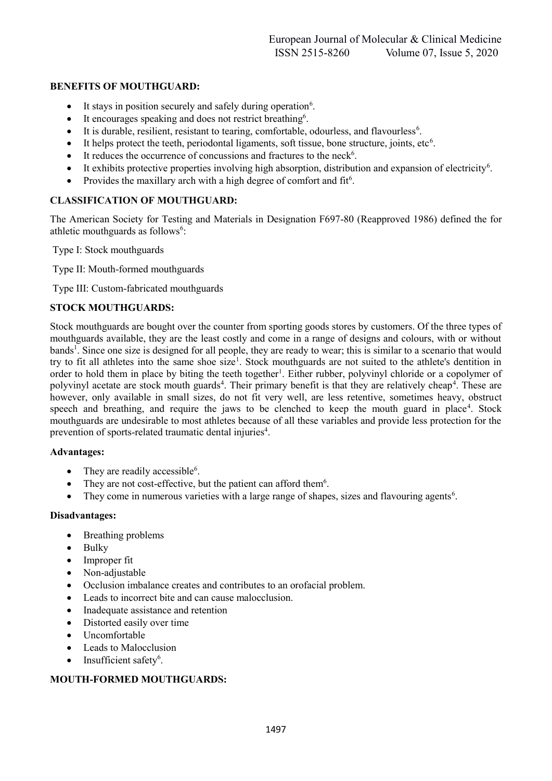### **BENEFITS OF MOUTHGUARD:**

- It stays in position securely and safely during operation<sup>6</sup>.
- It encourages speaking and does not restrict breathing<sup>6</sup>.
- It is durable, resilient, resistant to tearing, comfortable, odourless, and flavourless<sup>6</sup>.
- $\bullet$  It helps protect the teeth, periodontal ligaments, soft tissue, bone structure, joints, etc<sup>6</sup>.
- $\bullet$  It reduces the occurrence of concussions and fractures to the neck<sup>6</sup>.
- It exhibits protective properties involving high absorption, distribution and expansion of electricity<sup>6</sup>.
- Provides the maxillary arch with a high degree of comfort and  $fit<sup>6</sup>$ .

#### **CLASSIFICATION OF MOUTHGUARD:**

The American Society for Testing and Materials in Designation F697-80 (Reapproved 1986) defined the for athletic mouthguards as follows<sup>6</sup>:

Type I: Stock mouthguards

Type II: Mouth-formed mouthguards

Type III: Custom-fabricated mouthguards

#### **STOCK MOUTHGUARDS:**

Stock mouthguards are bought over the counter from sporting goods stores by customers. Of the three types of mouthguards available, they are the least costly and come in a range of designs and colours, with or without bands<sup>1</sup>. Since one size is designed for all people, they are ready to wear; this is similar to a scenario that would try to fit all athletes into the same shoe size<sup>1</sup>. Stock mouthguards are not suited to the athlete's dentition in order to hold them in place by biting the teeth together<sup>1</sup>. Either rubber, polyvinyl chloride or a copolymer of polyvinyl acetate are stock mouth guards<sup>4</sup>. Their primary benefit is that they are relatively cheap<sup>4</sup>. These are however, only available in small sizes, do not fit very well, are less retentive, sometimes heavy, obstruct speech and breathing, and require the jaws to be clenched to keep the mouth guard in place<sup>4</sup>. Stock mouthguards are undesirable to most athletes because of all these variables and provide less protection for the prevention of sports-related traumatic dental injuries<sup>4</sup>.

#### **Advantages:**

- They are readily accessible<sup>6</sup>.
- They are not cost-effective, but the patient can afford them<sup>6</sup>.
- They come in numerous varieties with a large range of shapes, sizes and flavouring agents<sup>6</sup>.

#### **Disadvantages:**

- Breathing problems
- Bulky
- Improper fit
- Non-adjustable
- Occlusion imbalance creates and contributes to an orofacial problem.
- Leads to incorrect bite and can cause malocclusion.
- Inadequate assistance and retention
- Distorted easily over time
- Uncomfortable
- Leads to Malocclusion
- $\bullet$  Insufficient safety<sup>6</sup>.

#### **MOUTH-FORMED MOUTHGUARDS:**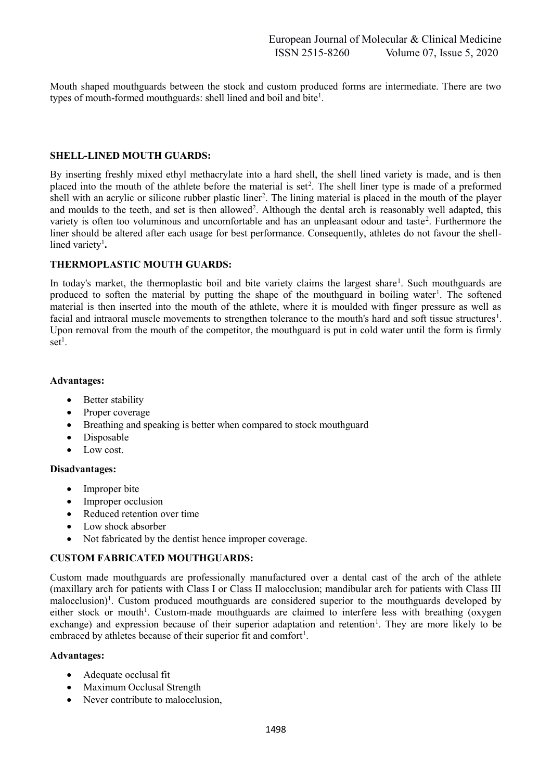Mouth shaped mouthguards between the stock and custom produced forms are intermediate. There are two types of mouth-formed mouthguards: shell lined and boil and bite<sup>1</sup>.

#### **SHELL-LINED MOUTH GUARDS:**

By inserting freshly mixed ethyl methacrylate into a hard shell, the shell lined variety is made, and is then placed into the mouth of the athlete before the material is set<sup>2</sup>. The shell liner type is made of a preformed shell with an acrylic or silicone rubber plastic liner<sup>2</sup>. The lining material is placed in the mouth of the player and moulds to the teeth, and set is then allowed<sup>2</sup>. Although the dental arch is reasonably well adapted, this variety is often too voluminous and uncomfortable and has an unpleasant odour and taste<sup>2</sup>. Furthermore the liner should be altered after each usage for best performance. Consequently, athletes do not favour the shelllined variety<sup>1</sup>.

#### **THERMOPLASTIC MOUTH GUARDS:**

In today's market, the thermoplastic boil and bite variety claims the largest share<sup>1</sup>. Such mouthguards are produced to soften the material by putting the shape of the mouthguard in boiling water<sup>1</sup>. The softened material is then inserted into the mouth of the athlete, where it is moulded with finger pressure as well as facial and intraoral muscle movements to strengthen tolerance to the mouth's hard and soft tissue structures<sup>1</sup>. Upon removal from the mouth of the competitor, the mouthguard is put in cold water until the form is firmly  $set<sup>1</sup>$ .

#### **Advantages:**

- Better stability
- Proper coverage
- Breathing and speaking is better when compared to stock mouthguard
- Disposable
- Low cost.

#### **Disadvantages:**

- Improper bite
- Improper occlusion
- Reduced retention over time
- Low shock absorber
- Not fabricated by the dentist hence improper coverage.

# **CUSTOM FABRICATED MOUTHGUARDS:**

Custom made mouthguards are professionally manufactured over a dental cast of the arch of the athlete (maxillary arch for patients with Class I or Class II malocclusion; mandibular arch for patients with Class III malocclusion)<sup>1</sup>. Custom produced mouthguards are considered superior to the mouthguards developed by either stock or mouth<sup>1</sup>. Custom-made mouthguards are claimed to interfere less with breathing (oxygen exchange) and expression because of their superior adaptation and retention<sup>1</sup>. They are more likely to be embraced by athletes because of their superior fit and comfort<sup>1</sup>.

#### **Advantages:**

- Adequate occlusal fit
- Maximum Occlusal Strength
- Never contribute to malocclusion,